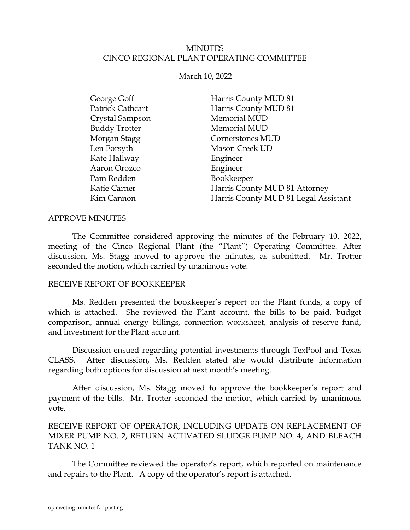### MINUTES CINCO REGIONAL PLANT OPERATING COMMITTEE

March 10, 2022

| George Goff          | Harris County MUD 81                 |
|----------------------|--------------------------------------|
| Patrick Cathcart     | Harris County MUD 81                 |
| Crystal Sampson      | Memorial MUD                         |
| <b>Buddy Trotter</b> | Memorial MUD                         |
| Morgan Stagg         | Cornerstones MUD                     |
| Len Forsyth          | Mason Creek UD                       |
| Kate Hallway         | Engineer                             |
| Aaron Orozco         | Engineer                             |
| Pam Redden           | Bookkeeper                           |
| Katie Carner         | Harris County MUD 81 Attorney        |
| Kim Cannon           | Harris County MUD 81 Legal Assistant |

#### APPROVE MINUTES

The Committee considered approving the minutes of the February 10, 2022, meeting of the Cinco Regional Plant (the "Plant") Operating Committee. After discussion, Ms. Stagg moved to approve the minutes, as submitted. Mr. Trotter seconded the motion, which carried by unanimous vote.

#### RECEIVE REPORT OF BOOKKEEPER

<span id="page-0-0"></span>Ms. Redden presented the bookkeeper's report on the Plant funds, a copy of which is attached. She reviewed the Plant account, the bills to be paid, budget comparison, annual energy billings, connection worksheet, analysis of reserve fund, and investment for the Plant account.

Discussion ensued regarding potential investments through TexPool and Texas CLASS. After discussion, Ms. Redden stated she would distribute information regarding both options for discussion at next month's meeting.

After discussion, Ms. Stagg moved to approve the bookkeeper's report and payment of the bills. Mr. Trotter seconded the motion, which carried by unanimous vote.

## RECEIVE REPORT OF OPERATOR, INCLUDING UPDATE ON REPLACEMENT OF MIXER PUMP NO. 2, RETURN ACTIVATED SLUDGE PUMP NO. 4, AND BLEACH TANK NO. 1

<span id="page-0-1"></span>The Committee reviewed the operator's report, which reported on maintenance and repairs to the Plant. A copy of the operator's report is attached.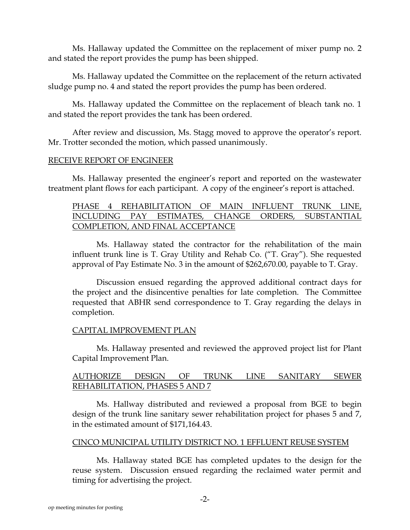Ms. Hallaway updated the Committee on the replacement of mixer pump no. 2 and stated the report provides the pump has been shipped.

Ms. Hallaway updated the Committee on the replacement of the return activated sludge pump no. 4 and stated the report provides the pump has been ordered.

Ms. Hallaway updated the Committee on the replacement of bleach tank no. 1 and stated the report provides the tank has been ordered.

After review and discussion, Ms. Stagg moved to approve the operator's report. Mr. Trotter seconded the motion, which passed unanimously.

### RECEIVE REPORT OF ENGINEER

Ms. Hallaway presented the engineer's report and reported on the wastewater treatment plant flows for each participant. A copy of the engineer's report is attached.

### <span id="page-1-0"></span>PHASE 4 REHABILITATION OF MAIN INFLUENT TRUNK LINE, INCLUDING PAY ESTIMATES, CHANGE ORDERS, SUBSTANTIAL COMPLETION, AND FINAL ACCEPTANCE

Ms. Hallaway stated the contractor for the rehabilitation of the main influent trunk line is T. Gray Utility and Rehab Co. ("T. Gray"). She requested approval of Pay Estimate No. 3 in the amount of \$262,670.00, payable to T. Gray.

Discussion ensued regarding the approved additional contract days for the project and the disincentive penalties for late completion. The Committee requested that ABHR send correspondence to T. Gray regarding the delays in completion.

## CAPITAL IMPROVEMENT PLAN

Ms. Hallaway presented and reviewed the approved project list for Plant Capital Improvement Plan.

## AUTHORIZE DESIGN OF TRUNK LINE SANITARY SEWER REHABILITATION, PHASES 5 AND 7

Ms. Hallway distributed and reviewed a proposal from BGE to begin design of the trunk line sanitary sewer rehabilitation project for phases 5 and 7, in the estimated amount of \$171,164.43.

### CINCO MUNICIPAL UTILITY DISTRICT NO. 1 EFFLUENT REUSE SYSTEM

Ms. Hallaway stated BGE has completed updates to the design for the reuse system. Discussion ensued regarding the reclaimed water permit and timing for advertising the project.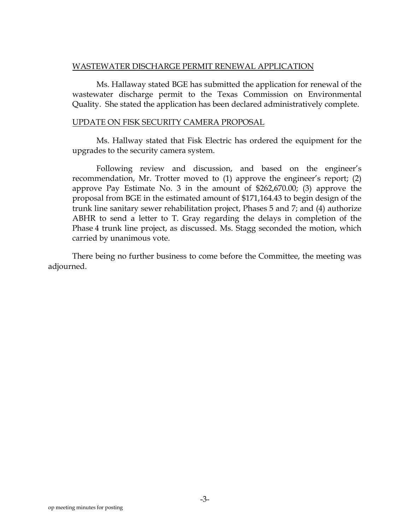#### WASTEWATER DISCHARGE PERMIT RENEWAL APPLICATION

Ms. Hallaway stated BGE has submitted the application for renewal of the wastewater discharge permit to the Texas Commission on Environmental Quality. She stated the application has been declared administratively complete.

#### UPDATE ON FISK SECURITY CAMERA PROPOSAL

Ms. Hallway stated that Fisk Electric has ordered the equipment for the upgrades to the security camera system.

Following review and discussion, and based on the engineer's recommendation, Mr. Trotter moved to (1) approve the engineer's report; (2) approve Pay Estimate No. 3 in the amount of \$262,670.00; (3) approve the proposal from BGE in the estimated amount of \$171,164.43 to begin design of the trunk line sanitary sewer rehabilitation project, Phases 5 and 7; and (4) authorize ABHR to send a letter to T. Gray regarding the delays in completion of the Phase 4 trunk line project, as discussed. Ms. Stagg seconded the motion, which carried by unanimous vote.

There being no further business to come before the Committee, the meeting was adjourned.